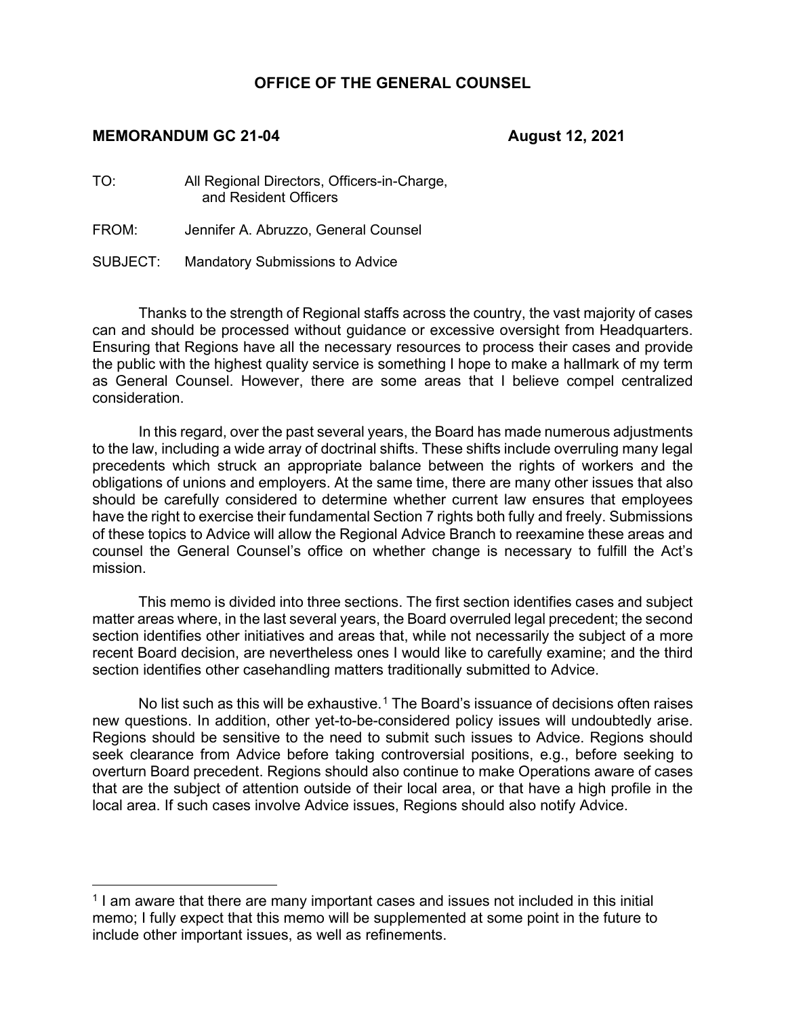## **OFFICE OF THE GENERAL COUNSEL**

#### **MEMORANDUM GC 21-04 August 12, 2021**

TO: All Regional Directors, Officers-in-Charge, and Resident Officers

FROM: Jennifer A. Abruzzo, General Counsel

SUBJECT: Mandatory Submissions to Advice

Thanks to the strength of Regional staffs across the country, the vast majority of cases can and should be processed without guidance or excessive oversight from Headquarters. Ensuring that Regions have all the necessary resources to process their cases and provide the public with the highest quality service is something I hope to make a hallmark of my term as General Counsel. However, there are some areas that I believe compel centralized consideration.

In this regard, over the past several years, the Board has made numerous adjustments to the law, including a wide array of doctrinal shifts. These shifts include overruling many legal precedents which struck an appropriate balance between the rights of workers and the obligations of unions and employers. At the same time, there are many other issues that also should be carefully considered to determine whether current law ensures that employees have the right to exercise their fundamental Section 7 rights both fully and freely. Submissions of these topics to Advice will allow the Regional Advice Branch to reexamine these areas and counsel the General Counsel's office on whether change is necessary to fulfill the Act's mission.

This memo is divided into three sections. The first section identifies cases and subject matter areas where, in the last several years, the Board overruled legal precedent; the second section identifies other initiatives and areas that, while not necessarily the subject of a more recent Board decision, are nevertheless ones I would like to carefully examine; and the third section identifies other casehandling matters traditionally submitted to Advice.

No list such as this will be exhaustive.<sup>[1](#page-0-0)</sup> The Board's issuance of decisions often raises new questions. In addition, other yet-to-be-considered policy issues will undoubtedly arise. Regions should be sensitive to the need to submit such issues to Advice. Regions should seek clearance from Advice before taking controversial positions, e.g., before seeking to overturn Board precedent. Regions should also continue to make Operations aware of cases that are the subject of attention outside of their local area, or that have a high profile in the local area. If such cases involve Advice issues, Regions should also notify Advice.

<span id="page-0-0"></span><sup>&</sup>lt;sup>1</sup> I am aware that there are many important cases and issues not included in this initial memo; I fully expect that this memo will be supplemented at some point in the future to include other important issues, as well as refinements.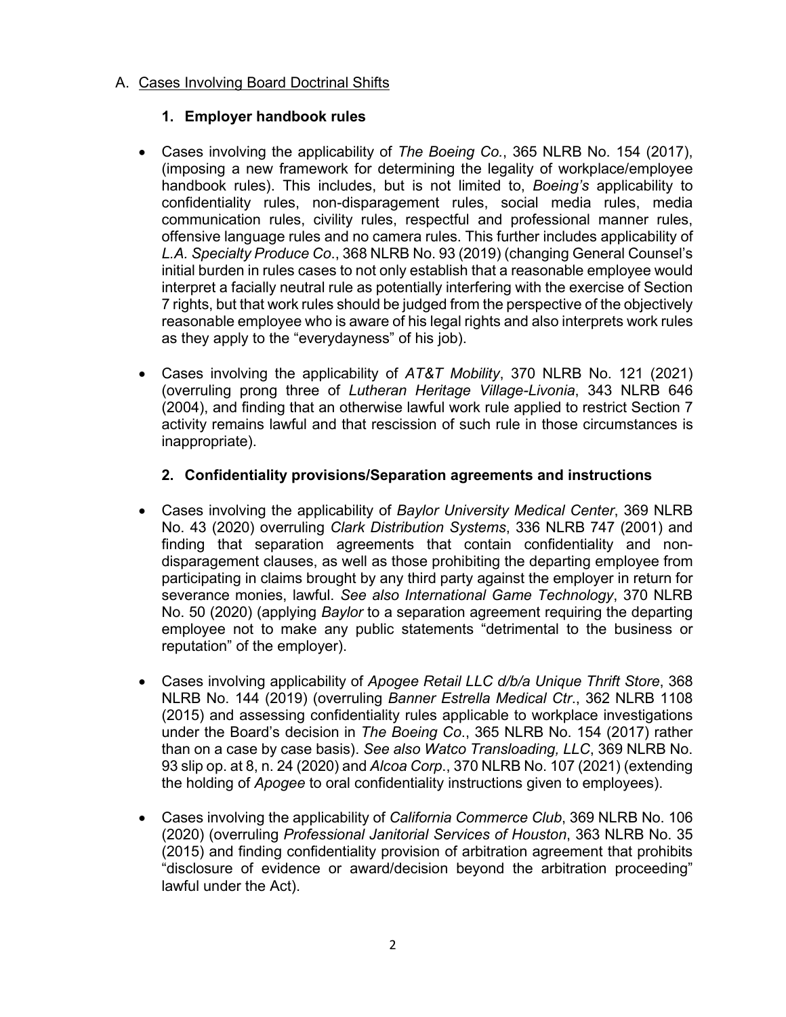## A. Cases Involving Board Doctrinal Shifts

## **1. Employer handbook rules**

- Cases involving the applicability of *The Boeing Co.*, 365 NLRB No. 154 (2017), (imposing a new framework for determining the legality of workplace/employee handbook rules). This includes, but is not limited to, *Boeing's* applicability to confidentiality rules, non-disparagement rules, social media rules, media communication rules, civility rules, respectful and professional manner rules, offensive language rules and no camera rules. This further includes applicability of *L.A. Specialty Produce Co*., 368 NLRB No. 93 (2019) (changing General Counsel's initial burden in rules cases to not only establish that a reasonable employee would interpret a facially neutral rule as potentially interfering with the exercise of Section 7 rights, but that work rules should be judged from the perspective of the objectively reasonable employee who is aware of his legal rights and also interprets work rules as they apply to the "everydayness" of his job).
- Cases involving the applicability of *AT&T Mobility*, 370 NLRB No. 121 (2021) (overruling prong three of *Lutheran Heritage Village-Livonia*, 343 NLRB 646 (2004), and finding that an otherwise lawful work rule applied to restrict Section 7 activity remains lawful and that rescission of such rule in those circumstances is inappropriate).

### **2. Confidentiality provisions/Separation agreements and instructions**

- Cases involving the applicability of *Baylor University Medical Center*, 369 NLRB No. 43 (2020) overruling *Clark Distribution Systems*, 336 NLRB 747 (2001) and finding that separation agreements that contain confidentiality and nondisparagement clauses, as well as those prohibiting the departing employee from participating in claims brought by any third party against the employer in return for severance monies, lawful. *See also International Game Technology*, 370 NLRB No. 50 (2020) (applying *Baylor* to a separation agreement requiring the departing employee not to make any public statements "detrimental to the business or reputation" of the employer).
- Cases involving applicability of *Apogee Retail LLC d/b/a Unique Thrift Store*, 368 NLRB No. 144 (2019) (overruling *Banner Estrella Medical Ctr*., 362 NLRB 1108 (2015) and assessing confidentiality rules applicable to workplace investigations under the Board's decision in *The Boeing Co*., 365 NLRB No. 154 (2017) rather than on a case by case basis). *See also Watco Transloading, LLC*, 369 NLRB No. 93 slip op. at 8, n. 24 (2020) and *Alcoa Corp*., 370 NLRB No. 107 (2021) (extending the holding of *Apogee* to oral confidentiality instructions given to employees).
- Cases involving the applicability of *California Commerce Club*, 369 NLRB No. 106 (2020) (overruling *Professional Janitorial Services of Houston*, 363 NLRB No. 35 (2015) and finding confidentiality provision of arbitration agreement that prohibits "disclosure of evidence or award/decision beyond the arbitration proceeding" lawful under the Act).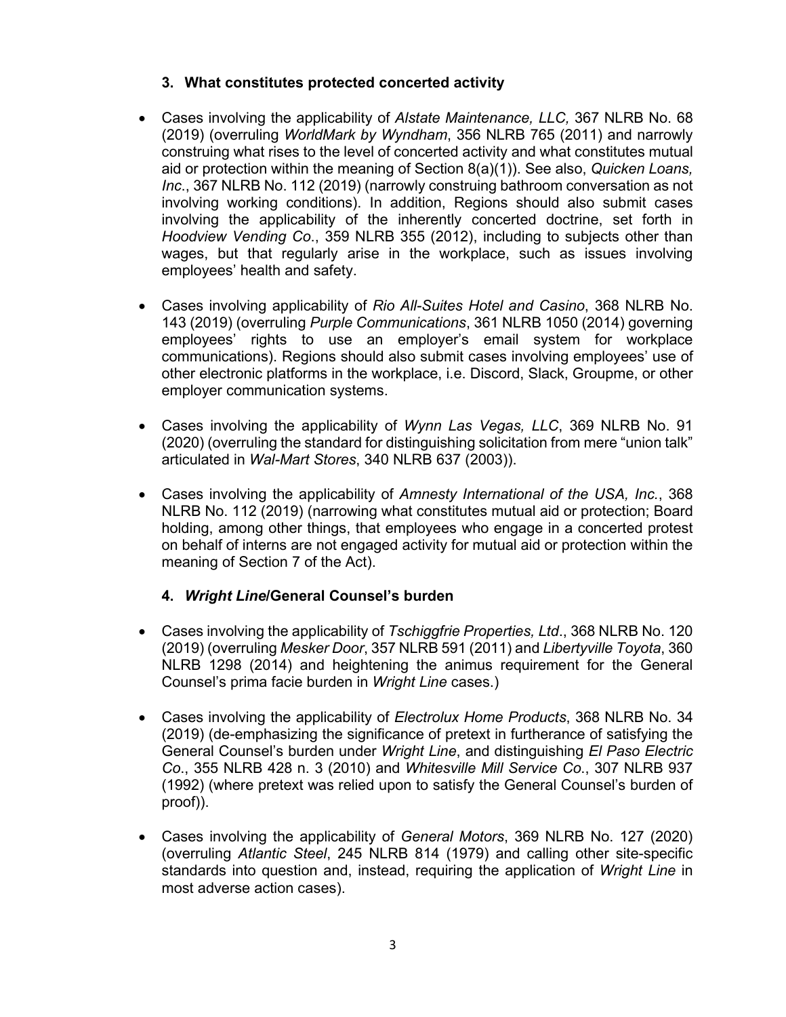## **3. What constitutes protected concerted activity**

- Cases involving the applicability of *Alstate Maintenance, LLC,* 367 NLRB No. 68 (2019) (overruling *WorldMark by Wyndham*, 356 NLRB 765 (2011) and narrowly construing what rises to the level of concerted activity and what constitutes mutual aid or protection within the meaning of Section 8(a)(1)). See also, *Quicken Loans, Inc*., 367 NLRB No. 112 (2019) (narrowly construing bathroom conversation as not involving working conditions). In addition, Regions should also submit cases involving the applicability of the inherently concerted doctrine, set forth in *Hoodview Vending Co*., 359 NLRB 355 (2012), including to subjects other than wages, but that regularly arise in the workplace, such as issues involving employees' health and safety.
- Cases involving applicability of *Rio All-Suites Hotel and Casino*, 368 NLRB No. 143 (2019) (overruling *Purple Communications*, 361 NLRB 1050 (2014) governing employees' rights to use an employer's email system for workplace communications). Regions should also submit cases involving employees' use of other electronic platforms in the workplace, i.e. Discord, Slack, Groupme, or other employer communication systems.
- Cases involving the applicability of *Wynn Las Vegas, LLC*, 369 NLRB No. 91 (2020) (overruling the standard for distinguishing solicitation from mere "union talk" articulated in *Wal-Mart Stores*, 340 NLRB 637 (2003)).
- Cases involving the applicability of *Amnesty International of the USA, Inc.*, 368 NLRB No. 112 (2019) (narrowing what constitutes mutual aid or protection; Board holding, among other things, that employees who engage in a concerted protest on behalf of interns are not engaged activity for mutual aid or protection within the meaning of Section 7 of the Act).

### **4.** *Wright Line***/General Counsel's burden**

- Cases involving the applicability of *Tschiggfrie Properties, Ltd*., 368 NLRB No. 120 (2019) (overruling *Mesker Door*, 357 NLRB 591 (2011) and *Libertyville Toyota*, 360 NLRB 1298 (2014) and heightening the animus requirement for the General Counsel's prima facie burden in *Wright Line* cases.)
- Cases involving the applicability of *Electrolux Home Products*, 368 NLRB No. 34 (2019) (de-emphasizing the significance of pretext in furtherance of satisfying the General Counsel's burden under *Wright Line*, and distinguishing *El Paso Electric Co*., 355 NLRB 428 n. 3 (2010) and *Whitesville Mill Service Co*., 307 NLRB 937 (1992) (where pretext was relied upon to satisfy the General Counsel's burden of proof)).
- Cases involving the applicability of *General Motors*, 369 NLRB No. 127 (2020) (overruling *Atlantic Steel*, 245 NLRB 814 (1979) and calling other site-specific standards into question and, instead, requiring the application of *Wright Line* in most adverse action cases).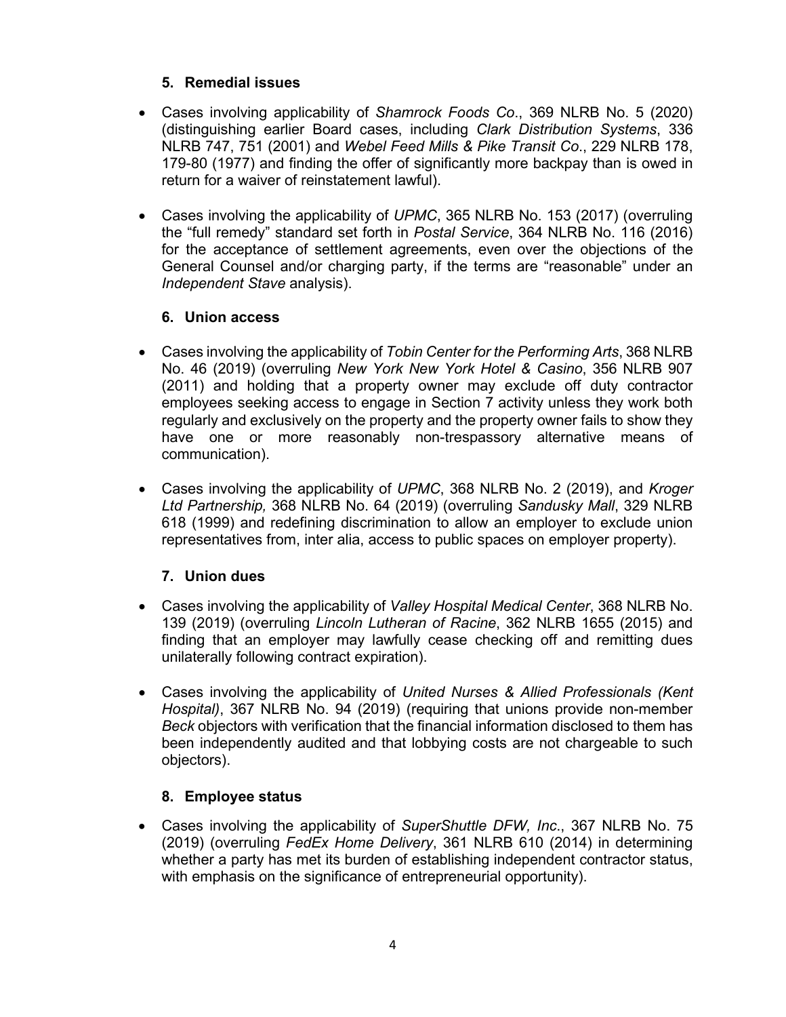# **5. Remedial issues**

- Cases involving applicability of *Shamrock Foods Co*., 369 NLRB No. 5 (2020) (distinguishing earlier Board cases, including *Clark Distribution Systems*, 336 NLRB 747, 751 (2001) and *Webel Feed Mills & Pike Transit Co*., 229 NLRB 178, 179-80 (1977) and finding the offer of significantly more backpay than is owed in return for a waiver of reinstatement lawful).
- Cases involving the applicability of *UPMC*, 365 NLRB No. 153 (2017) (overruling the "full remedy" standard set forth in *Postal Service*, 364 NLRB No. 116 (2016) for the acceptance of settlement agreements, even over the objections of the General Counsel and/or charging party, if the terms are "reasonable" under an *Independent Stave* analysis).

## **6. Union access**

- Cases involving the applicability of *Tobin Center for the Performing Arts*, 368 NLRB No. 46 (2019) (overruling *New York New York Hotel & Casino*, 356 NLRB 907 (2011) and holding that a property owner may exclude off duty contractor employees seeking access to engage in Section 7 activity unless they work both regularly and exclusively on the property and the property owner fails to show they have one or more reasonably non-trespassory alternative means of communication).
- Cases involving the applicability of *UPMC*, 368 NLRB No. 2 (2019), and *Kroger Ltd Partnership,* 368 NLRB No. 64 (2019) (overruling *Sandusky Mall*, 329 NLRB 618 (1999) and redefining discrimination to allow an employer to exclude union representatives from, inter alia, access to public spaces on employer property).

## **7. Union dues**

- Cases involving the applicability of *Valley Hospital Medical Center*, 368 NLRB No. 139 (2019) (overruling *Lincoln Lutheran of Racine*, 362 NLRB 1655 (2015) and finding that an employer may lawfully cease checking off and remitting dues unilaterally following contract expiration).
- Cases involving the applicability of *United Nurses & Allied Professionals (Kent Hospital)*, 367 NLRB No. 94 (2019) (requiring that unions provide non-member *Beck* objectors with verification that the financial information disclosed to them has been independently audited and that lobbying costs are not chargeable to such objectors).

## **8. Employee status**

• Cases involving the applicability of *SuperShuttle DFW, Inc*., 367 NLRB No. 75 (2019) (overruling *FedEx Home Delivery*, 361 NLRB 610 (2014) in determining whether a party has met its burden of establishing independent contractor status, with emphasis on the significance of entrepreneurial opportunity).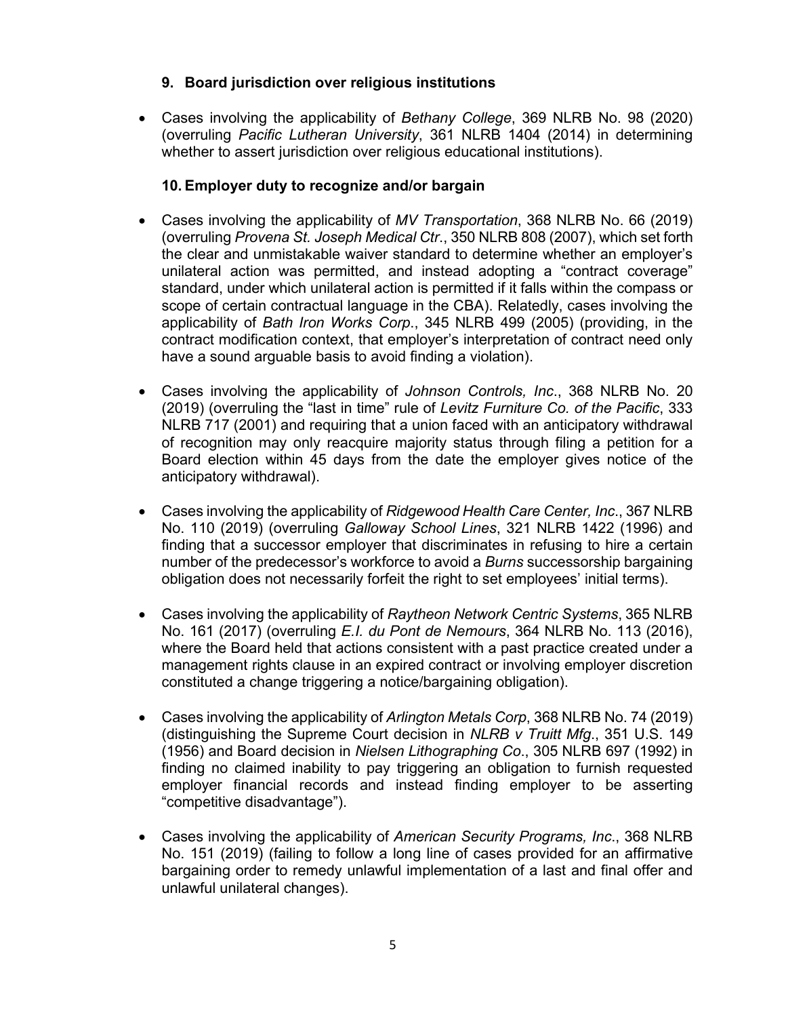## **9. Board jurisdiction over religious institutions**

• Cases involving the applicability of *Bethany College*, 369 NLRB No. 98 (2020) (overruling *Pacific Lutheran University*, 361 NLRB 1404 (2014) in determining whether to assert jurisdiction over religious educational institutions).

### **10. Employer duty to recognize and/or bargain**

- Cases involving the applicability of *MV Transportation*, 368 NLRB No. 66 (2019) (overruling *Provena St. Joseph Medical Ctr*., 350 NLRB 808 (2007), which set forth the clear and unmistakable waiver standard to determine whether an employer's unilateral action was permitted, and instead adopting a "contract coverage" standard, under which unilateral action is permitted if it falls within the compass or scope of certain contractual language in the CBA). Relatedly, cases involving the applicability of *Bath Iron Works Corp*., 345 NLRB 499 (2005) (providing, in the contract modification context, that employer's interpretation of contract need only have a sound arguable basis to avoid finding a violation).
- Cases involving the applicability of *Johnson Controls, Inc*., 368 NLRB No. 20 (2019) (overruling the "last in time" rule of *Levitz Furniture Co. of the Pacific*, 333 NLRB 717 (2001) and requiring that a union faced with an anticipatory withdrawal of recognition may only reacquire majority status through filing a petition for a Board election within 45 days from the date the employer gives notice of the anticipatory withdrawal).
- Cases involving the applicability of *Ridgewood Health Care Center, Inc*., 367 NLRB No. 110 (2019) (overruling *Galloway School Lines*, 321 NLRB 1422 (1996) and finding that a successor employer that discriminates in refusing to hire a certain number of the predecessor's workforce to avoid a *Burns* successorship bargaining obligation does not necessarily forfeit the right to set employees' initial terms).
- Cases involving the applicability of *Raytheon Network Centric Systems*, 365 NLRB No. 161 (2017) (overruling *E.I. du Pont de Nemours*, 364 NLRB No. 113 (2016), where the Board held that actions consistent with a past practice created under a management rights clause in an expired contract or involving employer discretion constituted a change triggering a notice/bargaining obligation).
- Cases involving the applicability of *Arlington Metals Corp*, 368 NLRB No. 74 (2019) (distinguishing the Supreme Court decision in *NLRB v Truitt Mfg*., 351 U.S. 149 (1956) and Board decision in *Nielsen Lithographing Co*., 305 NLRB 697 (1992) in finding no claimed inability to pay triggering an obligation to furnish requested employer financial records and instead finding employer to be asserting "competitive disadvantage").
- Cases involving the applicability of *American Security Programs, Inc*., 368 NLRB No. 151 (2019) (failing to follow a long line of cases provided for an affirmative bargaining order to remedy unlawful implementation of a last and final offer and unlawful unilateral changes).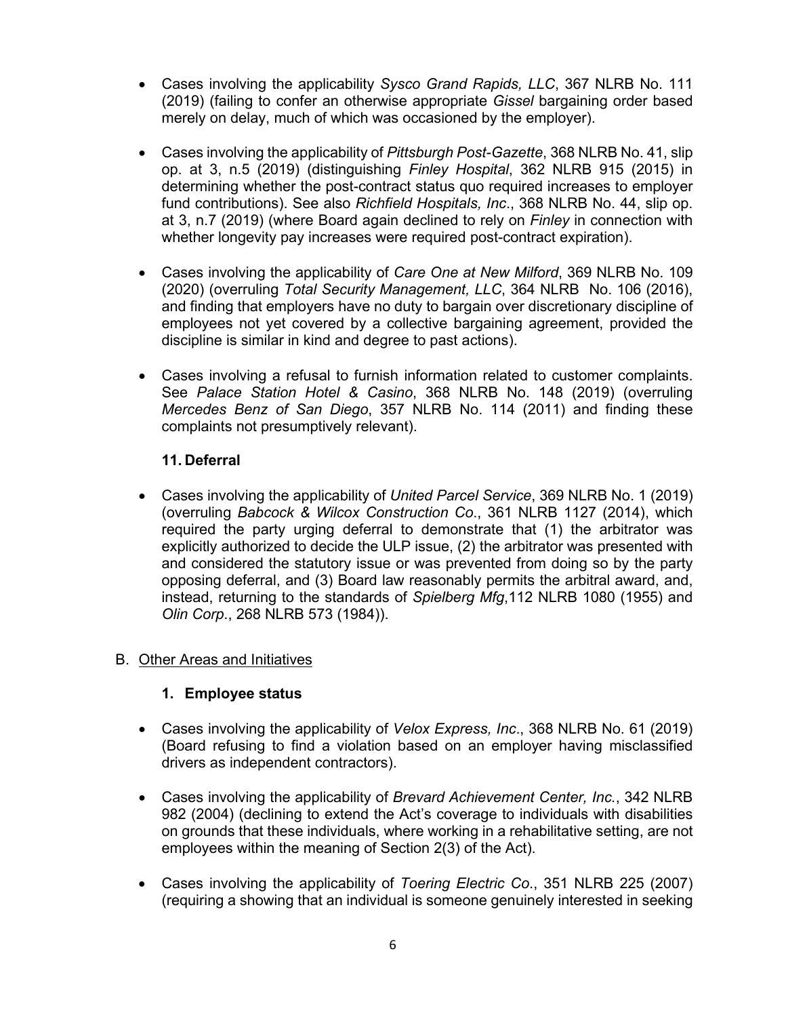- Cases involving the applicability *Sysco Grand Rapids, LLC*, 367 NLRB No. 111 (2019) (failing to confer an otherwise appropriate *Gissel* bargaining order based merely on delay, much of which was occasioned by the employer).
- Cases involving the applicability of *Pittsburgh Post-Gazette*, 368 NLRB No. 41, slip op. at 3, n.5 (2019) (distinguishing *Finley Hospital*, 362 NLRB 915 (2015) in determining whether the post-contract status quo required increases to employer fund contributions). See also *Richfield Hospitals, Inc*., 368 NLRB No. 44, slip op. at 3, n.7 (2019) (where Board again declined to rely on *Finley* in connection with whether longevity pay increases were required post-contract expiration).
- Cases involving the applicability of *Care One at New Milford*, 369 NLRB No. 109 (2020) (overruling *Total Security Management, LLC*, 364 NLRB No. 106 (2016), and finding that employers have no duty to bargain over discretionary discipline of employees not yet covered by a collective bargaining agreement, provided the discipline is similar in kind and degree to past actions).
- Cases involving a refusal to furnish information related to customer complaints. See *Palace Station Hotel & Casino*, 368 NLRB No. 148 (2019) (overruling *Mercedes Benz of San Diego*, 357 NLRB No. 114 (2011) and finding these complaints not presumptively relevant).

## **11. Deferral**

• Cases involving the applicability of *United Parcel Service*, 369 NLRB No. 1 (2019) (overruling *Babcock & Wilcox Construction Co*., 361 NLRB 1127 (2014), which required the party urging deferral to demonstrate that (1) the arbitrator was explicitly authorized to decide the ULP issue, (2) the arbitrator was presented with and considered the statutory issue or was prevented from doing so by the party opposing deferral, and (3) Board law reasonably permits the arbitral award, and, instead, returning to the standards of *Spielberg Mfg*,112 NLRB 1080 (1955) and *Olin Corp*., 268 NLRB 573 (1984)).

### B. Other Areas and Initiatives

### **1. Employee status**

- Cases involving the applicability of *Velox Express, Inc*., 368 NLRB No. 61 (2019) (Board refusing to find a violation based on an employer having misclassified drivers as independent contractors).
- Cases involving the applicability of *Brevard Achievement Center, Inc.*, 342 NLRB 982 (2004) (declining to extend the Act's coverage to individuals with disabilities on grounds that these individuals, where working in a rehabilitative setting, are not employees within the meaning of Section 2(3) of the Act).
- Cases involving the applicability of *Toering Electric Co*., 351 NLRB 225 (2007) (requiring a showing that an individual is someone genuinely interested in seeking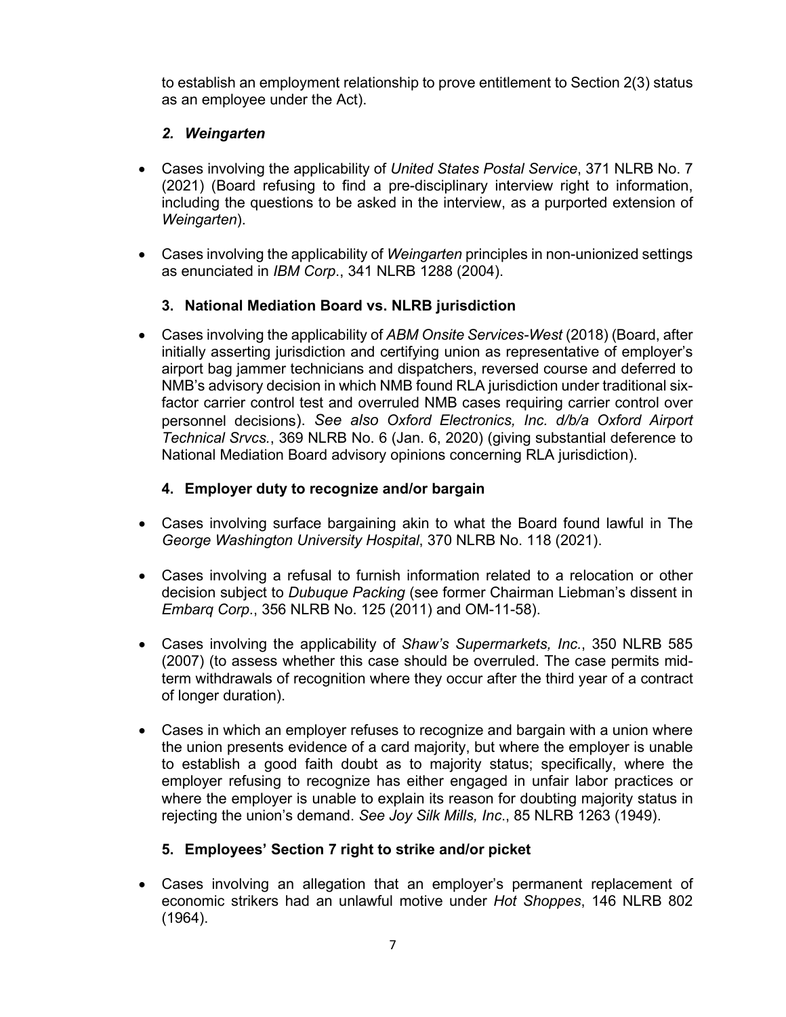to establish an employment relationship to prove entitlement to Section 2(3) status as an employee under the Act).

# *2. Weingarten*

- Cases involving the applicability of *United States Postal Service*, 371 NLRB No. 7 (2021) (Board refusing to find a pre-disciplinary interview right to information, including the questions to be asked in the interview, as a purported extension of *Weingarten*).
- Cases involving the applicability of *Weingarten* principles in non-unionized settings as enunciated in *IBM Corp*., 341 NLRB 1288 (2004).

# **3. National Mediation Board vs. NLRB jurisdiction**

• Cases involving the applicability of *ABM Onsite Services-West* (2018) (Board, after initially asserting jurisdiction and certifying union as representative of employer's airport bag jammer technicians and dispatchers, reversed course and deferred to NMB's advisory decision in which NMB found RLA jurisdiction under traditional sixfactor carrier control test and overruled NMB cases requiring carrier control over personnel decisions). *See also Oxford Electronics, Inc. d/b/a Oxford Airport Technical Srvcs.*, 369 NLRB No. 6 (Jan. 6, 2020) (giving substantial deference to National Mediation Board advisory opinions concerning RLA jurisdiction).

# **4. Employer duty to recognize and/or bargain**

- Cases involving surface bargaining akin to what the Board found lawful in The *George Washington University Hospital*, 370 NLRB No. 118 (2021).
- Cases involving a refusal to furnish information related to a relocation or other decision subject to *Dubuque Packing* (see former Chairman Liebman's dissent in *Embarq Corp*., 356 NLRB No. 125 (2011) and OM-11-58).
- Cases involving the applicability of *Shaw's Supermarkets, Inc.*, 350 NLRB 585 (2007) (to assess whether this case should be overruled. The case permits midterm withdrawals of recognition where they occur after the third year of a contract of longer duration).
- Cases in which an employer refuses to recognize and bargain with a union where the union presents evidence of a card majority, but where the employer is unable to establish a good faith doubt as to majority status; specifically, where the employer refusing to recognize has either engaged in unfair labor practices or where the employer is unable to explain its reason for doubting majority status in rejecting the union's demand. *See Joy Silk Mills, Inc*., 85 NLRB 1263 (1949).

## **5. Employees' Section 7 right to strike and/or picket**

• Cases involving an allegation that an employer's permanent replacement of economic strikers had an unlawful motive under *Hot Shoppes*, 146 NLRB 802 (1964).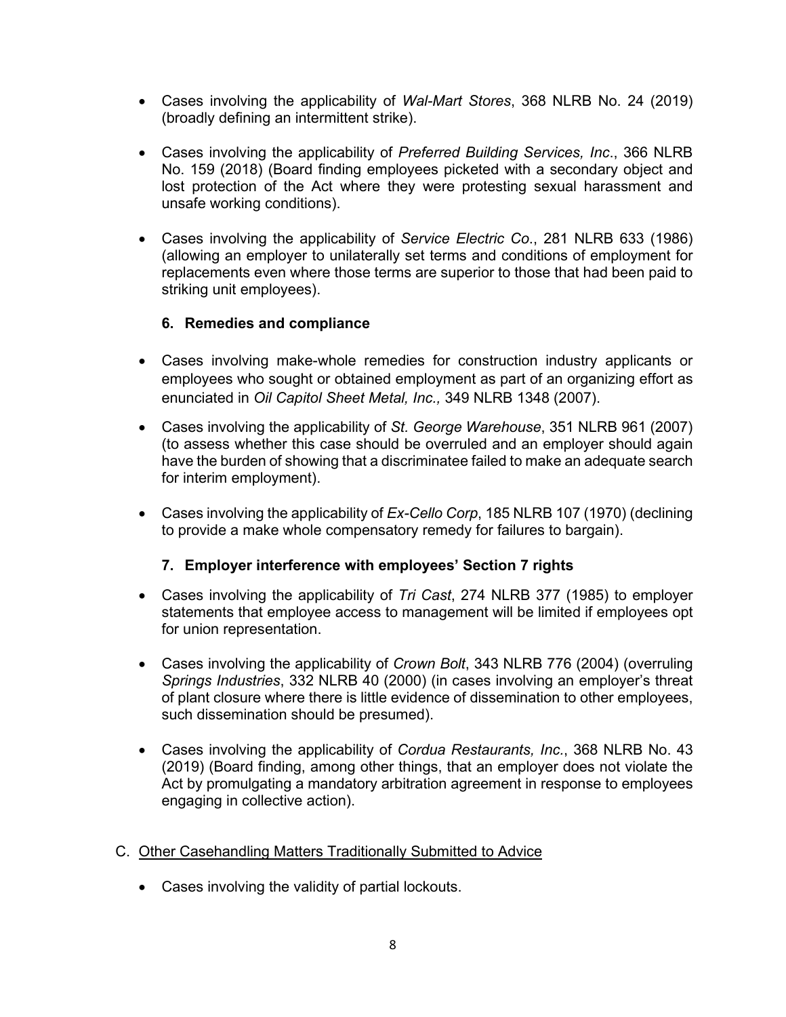- Cases involving the applicability of *Wal-Mart Stores*, 368 NLRB No. 24 (2019) (broadly defining an intermittent strike).
- Cases involving the applicability of *Preferred Building Services, Inc*., 366 NLRB No. 159 (2018) (Board finding employees picketed with a secondary object and lost protection of the Act where they were protesting sexual harassment and unsafe working conditions).
- Cases involving the applicability of *Service Electric Co*., 281 NLRB 633 (1986) (allowing an employer to unilaterally set terms and conditions of employment for replacements even where those terms are superior to those that had been paid to striking unit employees).

## **6. Remedies and compliance**

- Cases involving make-whole remedies for construction industry applicants or employees who sought or obtained employment as part of an organizing effort as enunciated in *Oil Capitol Sheet Metal, Inc.,* 349 NLRB 1348 (2007).
- Cases involving the applicability of *St. George Warehouse*, 351 NLRB 961 (2007) (to assess whether this case should be overruled and an employer should again have the burden of showing that a discriminatee failed to make an adequate search for interim employment).
- Cases involving the applicability of *Ex-Cello Corp*, 185 NLRB 107 (1970) (declining to provide a make whole compensatory remedy for failures to bargain).

## **7. Employer interference with employees' Section 7 rights**

- Cases involving the applicability of *Tri Cast*, 274 NLRB 377 (1985) to employer statements that employee access to management will be limited if employees opt for union representation.
- Cases involving the applicability of *Crown Bolt*, 343 NLRB 776 (2004) (overruling *Springs Industries*, 332 NLRB 40 (2000) (in cases involving an employer's threat of plant closure where there is little evidence of dissemination to other employees, such dissemination should be presumed).
- Cases involving the applicability of *Cordua Restaurants, Inc.*, 368 NLRB No. 43 (2019) (Board finding, among other things, that an employer does not violate the Act by promulgating a mandatory arbitration agreement in response to employees engaging in collective action).
- C. Other Casehandling Matters Traditionally Submitted to Advice
	- Cases involving the validity of partial lockouts.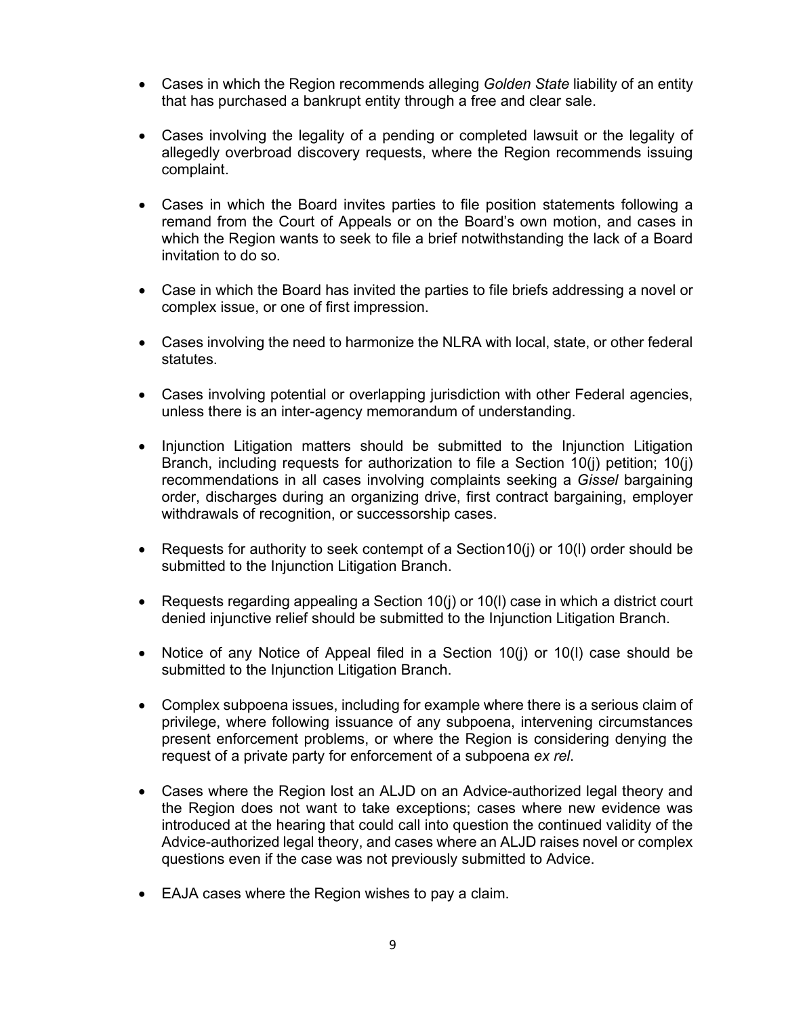- Cases in which the Region recommends alleging *Golden State* liability of an entity that has purchased a bankrupt entity through a free and clear sale.
- Cases involving the legality of a pending or completed lawsuit or the legality of allegedly overbroad discovery requests, where the Region recommends issuing complaint.
- Cases in which the Board invites parties to file position statements following a remand from the Court of Appeals or on the Board's own motion, and cases in which the Region wants to seek to file a brief notwithstanding the lack of a Board invitation to do so.
- Case in which the Board has invited the parties to file briefs addressing a novel or complex issue, or one of first impression.
- Cases involving the need to harmonize the NLRA with local, state, or other federal statutes.
- Cases involving potential or overlapping jurisdiction with other Federal agencies, unless there is an inter-agency memorandum of understanding.
- Injunction Litigation matters should be submitted to the Injunction Litigation Branch, including requests for authorization to file a Section 10(j) petition; 10(j) recommendations in all cases involving complaints seeking a *Gissel* bargaining order, discharges during an organizing drive, first contract bargaining, employer withdrawals of recognition, or successorship cases.
- Requests for authority to seek contempt of a Section10(j) or 10(l) order should be submitted to the Injunction Litigation Branch.
- Requests regarding appealing a Section 10(i) or 10(I) case in which a district court denied injunctive relief should be submitted to the Injunction Litigation Branch.
- Notice of any Notice of Appeal filed in a Section 10(i) or 10(I) case should be submitted to the Injunction Litigation Branch.
- Complex subpoena issues, including for example where there is a serious claim of privilege, where following issuance of any subpoena, intervening circumstances present enforcement problems, or where the Region is considering denying the request of a private party for enforcement of a subpoena *ex rel*.
- Cases where the Region lost an ALJD on an Advice-authorized legal theory and the Region does not want to take exceptions; cases where new evidence was introduced at the hearing that could call into question the continued validity of the Advice-authorized legal theory, and cases where an ALJD raises novel or complex questions even if the case was not previously submitted to Advice.
- EAJA cases where the Region wishes to pay a claim.